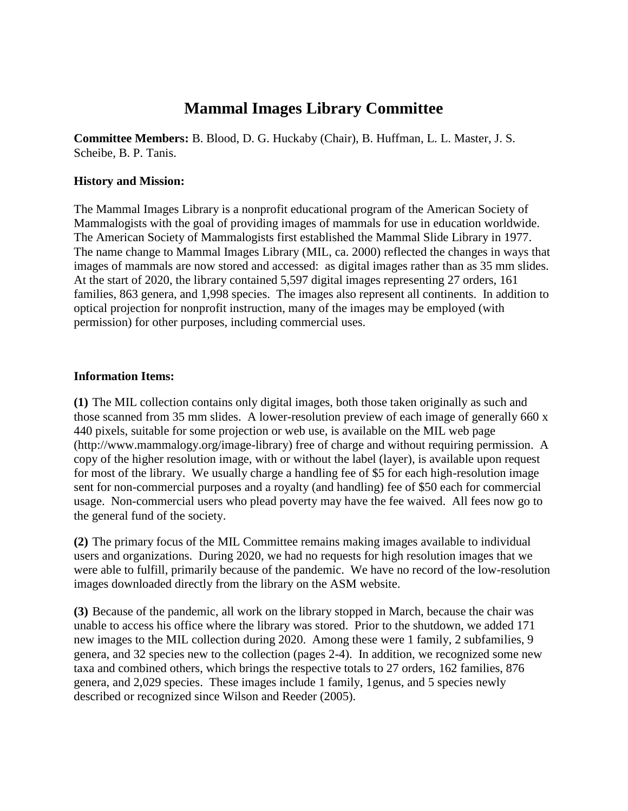# **Mammal Images Library Committee**

**Committee Members:** B. Blood, D. G. Huckaby (Chair), B. Huffman, L. L. Master, J. S. Scheibe, B. P. Tanis.

#### **History and Mission:**

The Mammal Images Library is a nonprofit educational program of the American Society of Mammalogists with the goal of providing images of mammals for use in education worldwide. The American Society of Mammalogists first established the Mammal Slide Library in 1977. The name change to Mammal Images Library (MIL, ca. 2000) reflected the changes in ways that images of mammals are now stored and accessed: as digital images rather than as 35 mm slides. At the start of 2020, the library contained 5,597 digital images representing 27 orders, 161 families, 863 genera, and 1,998 species. The images also represent all continents. In addition to optical projection for nonprofit instruction, many of the images may be employed (with permission) for other purposes, including commercial uses.

#### **Information Items:**

**(1)** The MIL collection contains only digital images, both those taken originally as such and those scanned from 35 mm slides. A lower-resolution preview of each image of generally 660 x 440 pixels, suitable for some projection or web use, is available on the MIL web page (http://www.mammalogy.org/image-library) free of charge and without requiring permission. A copy of the higher resolution image, with or without the label (layer), is available upon request for most of the library. We usually charge a handling fee of \$5 for each high-resolution image sent for non-commercial purposes and a royalty (and handling) fee of \$50 each for commercial usage. Non-commercial users who plead poverty may have the fee waived. All fees now go to the general fund of the society.

**(2)** The primary focus of the MIL Committee remains making images available to individual users and organizations. During 2020, we had no requests for high resolution images that we were able to fulfill, primarily because of the pandemic. We have no record of the low-resolution images downloaded directly from the library on the ASM website.

**(3)** Because of the pandemic, all work on the library stopped in March, because the chair was unable to access his office where the library was stored. Prior to the shutdown, we added 171 new images to the MIL collection during 2020. Among these were 1 family, 2 subfamilies, 9 genera, and 32 species new to the collection (pages 2-4). In addition, we recognized some new taxa and combined others, which brings the respective totals to 27 orders, 162 families, 876 genera, and 2,029 species. These images include 1 family, 1genus, and 5 species newly described or recognized since Wilson and Reeder (2005).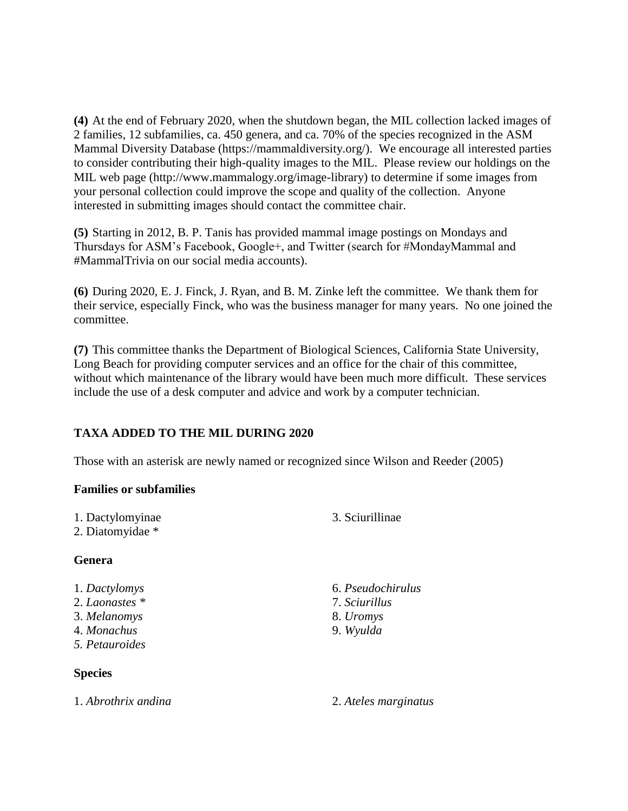**(4)** At the end of February 2020, when the shutdown began, the MIL collection lacked images of 2 families, 12 subfamilies, ca. 450 genera, and ca. 70% of the species recognized in the ASM Mammal Diversity Database (https://mammaldiversity.org/). We encourage all interested parties to consider contributing their high-quality images to the MIL. Please review our holdings on the MIL web page (http://www.mammalogy.org/image-library) to determine if some images from your personal collection could improve the scope and quality of the collection. Anyone interested in submitting images should contact the committee chair.

**(5)** Starting in 2012, B. P. Tanis has provided mammal image postings on Mondays and Thursdays for ASM's Facebook, Google+, and Twitter (search for #MondayMammal and #MammalTrivia on our social media accounts).

**(6)** During 2020, E. J. Finck, J. Ryan, and B. M. Zinke left the committee. We thank them for their service, especially Finck, who was the business manager for many years. No one joined the committee.

**(7)** This committee thanks the Department of Biological Sciences, California State University, Long Beach for providing computer services and an office for the chair of this committee, without which maintenance of the library would have been much more difficult. These services include the use of a desk computer and advice and work by a computer technician.

### **TAXA ADDED TO THE MIL DURING 2020**

Those with an asterisk are newly named or recognized since Wilson and Reeder (2005)

#### **Families or subfamilies**

- 1. Dactylomyinae
- 2. Diatomyidae \*

### **Genera**

- 1. *Dactylomys*
- 2. *Laonastes \**
- 3. *Melanomys*
- 4. *Monachus*
- *5. Petauroides*

### **Species**

3. Sciurillinae

- 6. *Pseudochirulus* 7. *Sciurillus*
- 8. *Uromys*
- 9. *Wyulda*
- 

1. *Abrothrix andina* 2. *Ateles marginatus*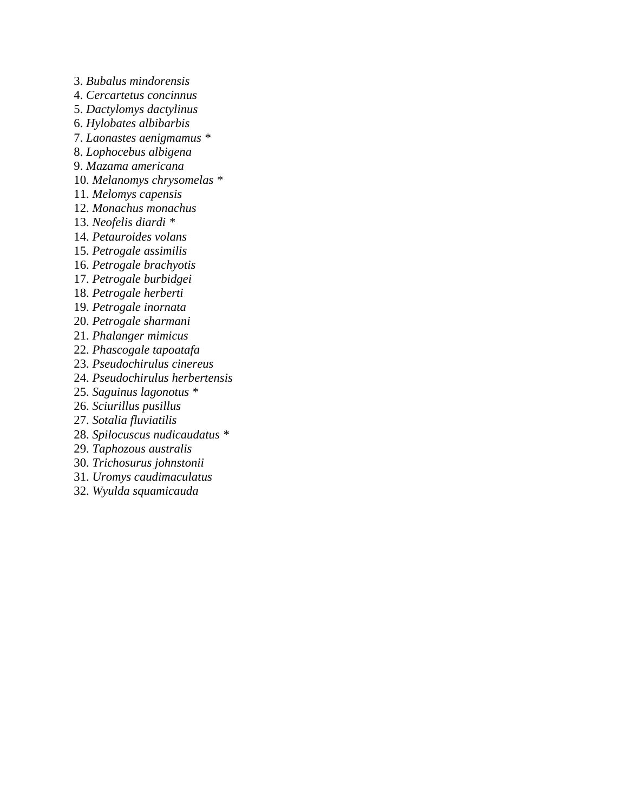3. *Bubalus mindorensis*

- 4. *Cercartetus concinnus*
- 5. *Dactylomys dactylinus*
- 6. *Hylobates albibarbis*
- 7. *Laonastes aenigmamus \**
- 8. *Lophocebus albigena*
- 9. *Mazama americana*
- 10. *Melanomys chrysomelas \**
- 11. *Melomys capensis*
- 12. *Monachus monachus*
- 13. *Neofelis diardi \**
- 14. *Petauroides volans*
- 15. *Petrogale assimilis*
- 16. *Petrogale brachyotis*
- 17. *Petrogale burbidgei*
- 18. *Petrogale herberti*
- 19. *Petrogale inornata*
- 20. *Petrogale sharmani*
- 21. *Phalanger mimicus*
- 22. *Phascogale tapoatafa*
- 23. *Pseudochirulus cinereus*
- 24. *Pseudochirulus herbertensis*
- 25. *Saguinus lagonotus \**
- 26. *Sciurillus pusillus*
- 27. *Sotalia fluviatilis*
- 28. *Spilocuscus nudicaudatus \**
- 29. *Taphozous australis*
- 30. *Trichosurus johnstonii*
- 31. *Uromys caudimaculatus*
- 32. *Wyulda squamicauda*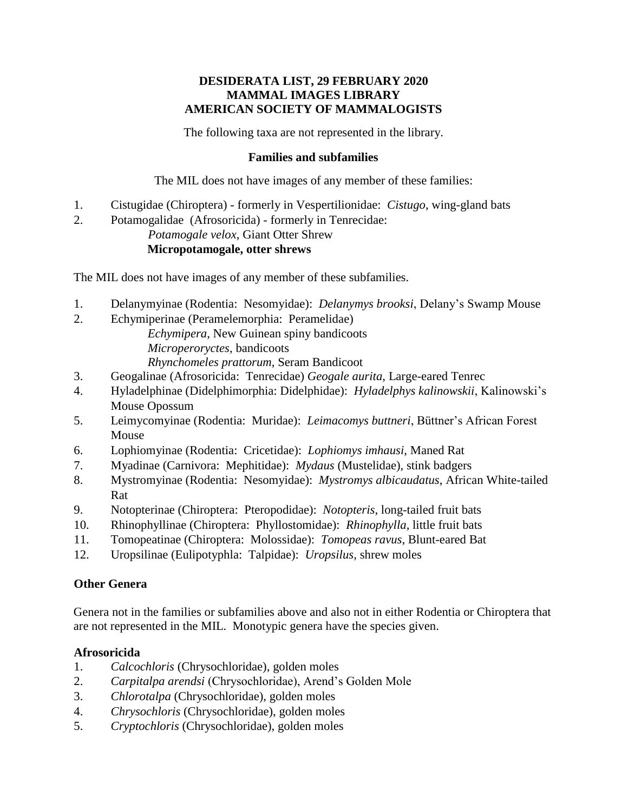#### **DESIDERATA LIST, 29 FEBRUARY 2020 MAMMAL IMAGES LIBRARY AMERICAN SOCIETY OF MAMMALOGISTS**

The following taxa are not represented in the library.

#### **Families and subfamilies**

The MIL does not have images of any member of these families:

- 1. Cistugidae (Chiroptera) formerly in Vespertilionidae: *Cistugo*, wing-gland bats
- 2. Potamogalidae (Afrosoricida) formerly in Tenrecidae: *Potamogale velox*, Giant Otter Shrew

# **Micropotamogale, otter shrews**

The MIL does not have images of any member of these subfamilies.

- 1. Delanymyinae (Rodentia: Nesomyidae): *Delanymys brooksi*, Delany's Swamp Mouse
- 2. Echymiperinae (Peramelemorphia: Peramelidae)
	- *Echymipera*, New Guinean spiny bandicoots *Microperoryctes*, bandicoots

*Rhynchomeles prattorum*, Seram Bandicoot

- 3. Geogalinae (Afrosoricida: Tenrecidae) *Geogale aurita*, Large-eared Tenrec
- 4. Hyladelphinae (Didelphimorphia: Didelphidae): *Hyladelphys kalinowskii*, Kalinowski's Mouse Opossum
- 5. Leimycomyinae (Rodentia: Muridae): *Leimacomys buttneri*, Büttner's African Forest Mouse
- 6. Lophiomyinae (Rodentia: Cricetidae): *Lophiomys imhausi*, Maned Rat
- 7. Myadinae (Carnivora: Mephitidae): *Mydaus* (Mustelidae), stink badgers
- 8. Mystromyinae (Rodentia: Nesomyidae): *Mystromys albicaudatus*, African White-tailed Rat
- 9. Notopterinae (Chiroptera: Pteropodidae): *Notopteris*, long-tailed fruit bats
- 10. Rhinophyllinae (Chiroptera: Phyllostomidae): *Rhinophylla*, little fruit bats
- 11. Tomopeatinae (Chiroptera: Molossidae): *Tomopeas ravus*, Blunt-eared Bat
- 12. Uropsilinae (Eulipotyphla: Talpidae): *Uropsilus*, shrew moles

#### **Other Genera**

Genera not in the families or subfamilies above and also not in either Rodentia or Chiroptera that are not represented in the MIL. Monotypic genera have the species given.

### **Afrosoricida**

- 1. *Calcochloris* (Chrysochloridae), golden moles
- 2. *Carpitalpa arendsi* (Chrysochloridae), Arend's Golden Mole
- 3. *Chlorotalpa* (Chrysochloridae), golden moles
- 4. *Chrysochloris* (Chrysochloridae), golden moles
- 5. *Cryptochloris* (Chrysochloridae), golden moles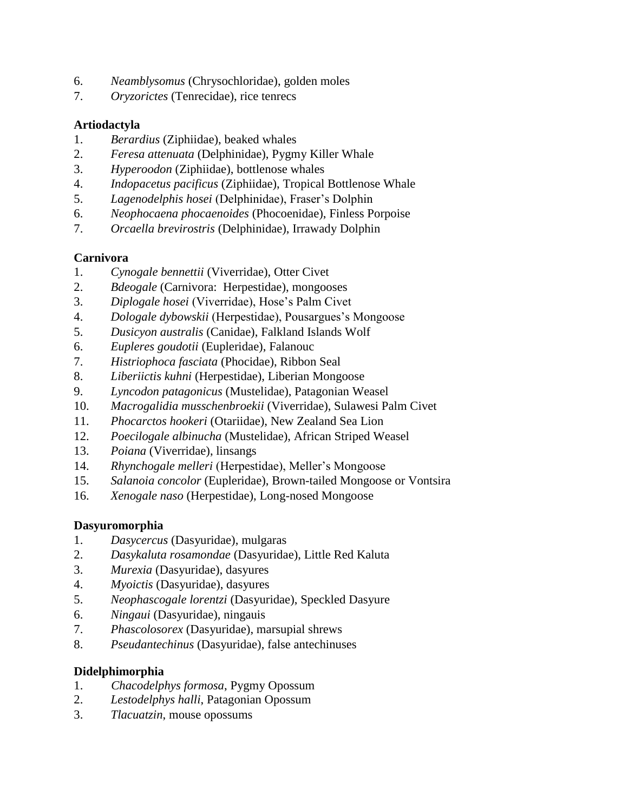- 6. *Neamblysomus* (Chrysochloridae), golden moles
- 7. *Oryzorictes* (Tenrecidae), rice tenrecs

# **Artiodactyla**

- 1. *Berardius* (Ziphiidae), beaked whales
- 2. *Feresa attenuata* (Delphinidae), Pygmy Killer Whale
- 3. *Hyperoodon* (Ziphiidae), bottlenose whales
- 4. *Indopacetus pacificus* (Ziphiidae), Tropical Bottlenose Whale
- 5. *Lagenodelphis hosei* (Delphinidae), Fraser's Dolphin
- 6. *Neophocaena phocaenoides* (Phocoenidae), Finless Porpoise
- 7. *Orcaella brevirostris* (Delphinidae), Irrawady Dolphin

# **Carnivora**

- 1. *Cynogale bennettii* (Viverridae), Otter Civet
- 2. *Bdeogale* (Carnivora: Herpestidae), mongooses
- 3. *Diplogale hosei* (Viverridae), Hose's Palm Civet
- 4. *Dologale dybowskii* (Herpestidae), Pousargues's Mongoose
- 5. *Dusicyon australis* (Canidae), Falkland Islands Wolf
- 6. *Eupleres goudotii* (Eupleridae), Falanouc
- 7. *Histriophoca fasciata* (Phocidae), Ribbon Seal
- 8. *Liberiictis kuhni* (Herpestidae), Liberian Mongoose
- 9. *Lyncodon patagonicus* (Mustelidae), Patagonian Weasel
- 10. *Macrogalidia musschenbroekii* (Viverridae), Sulawesi Palm Civet
- 11. *Phocarctos hookeri* (Otariidae), New Zealand Sea Lion
- 12. *Poecilogale albinucha* (Mustelidae), African Striped Weasel
- 13. *Poiana* (Viverridae), linsangs
- 14. *Rhynchogale melleri* (Herpestidae), Meller's Mongoose
- 15. *Salanoia concolor* (Eupleridae), Brown-tailed Mongoose or Vontsira
- 16. *Xenogale naso* (Herpestidae), Long-nosed Mongoose

# **Dasyuromorphia**

- 1. *Dasycercus* (Dasyuridae), mulgaras
- 2. *Dasykaluta rosamondae* (Dasyuridae), Little Red Kaluta
- 3. *Murexia* (Dasyuridae), dasyures
- 4. *Myoictis* (Dasyuridae), dasyures
- 5. *Neophascogale lorentzi* (Dasyuridae), Speckled Dasyure
- 6. *Ningaui* (Dasyuridae), ningauis
- 7. *Phascolosorex* (Dasyuridae), marsupial shrews
- 8. *Pseudantechinus* (Dasyuridae), false antechinuses

# **Didelphimorphia**

- 1. *Chacodelphys formosa*, Pygmy Opossum
- 2. *Lestodelphys halli*, Patagonian Opossum
- 3. *Tlacuatzin*, mouse opossums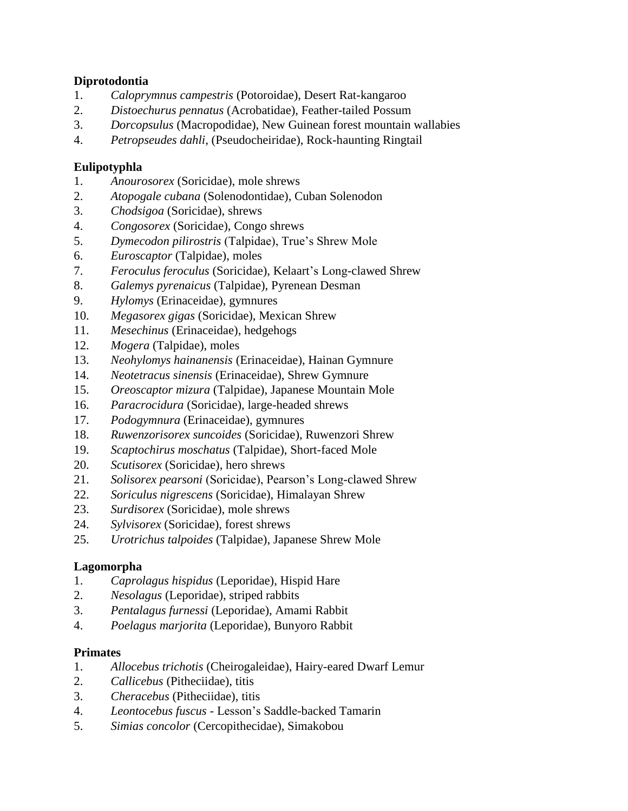### **Diprotodontia**

- 1. *Caloprymnus campestris* (Potoroidae), Desert Rat-kangaroo
- 2. *Distoechurus pennatus* (Acrobatidae), Feather-tailed Possum
- 3. *Dorcopsulus* (Macropodidae), New Guinean forest mountain wallabies
- 4. *Petropseudes dahli*, (Pseudocheiridae), Rock-haunting Ringtail

### **Eulipotyphla**

- 1. *Anourosorex* (Soricidae), mole shrews
- 2. *Atopogale cubana* (Solenodontidae), Cuban Solenodon
- 3. *Chodsigoa* (Soricidae), shrews
- 4. *Congosorex* (Soricidae), Congo shrews
- 5. *Dymecodon pilirostris* (Talpidae), True's Shrew Mole
- 6. *Euroscaptor* (Talpidae), moles
- 7. *Feroculus feroculus* (Soricidae), Kelaart's Long-clawed Shrew
- 8. *Galemys pyrenaicus* (Talpidae), Pyrenean Desman
- 9. *Hylomys* (Erinaceidae), gymnures
- 10. *Megasorex gigas* (Soricidae), Mexican Shrew
- 11. *Mesechinus* (Erinaceidae), hedgehogs
- 12. *Mogera* (Talpidae), moles
- 13. *Neohylomys hainanensis* (Erinaceidae), Hainan Gymnure
- 14. *Neotetracus sinensis* (Erinaceidae), Shrew Gymnure
- 15. *Oreoscaptor mizura* (Talpidae), Japanese Mountain Mole
- 16. *Paracrocidura* (Soricidae), large-headed shrews
- 17. *Podogymnura* (Erinaceidae), gymnures
- 18. *Ruwenzorisorex suncoides* (Soricidae), Ruwenzori Shrew
- 19. *Scaptochirus moschatus* (Talpidae), Short-faced Mole
- 20. *Scutisorex* (Soricidae), hero shrews
- 21. *Solisorex pearsoni* (Soricidae), Pearson's Long-clawed Shrew
- 22. *Soriculus nigrescens* (Soricidae), Himalayan Shrew
- 23. *Surdisorex* (Soricidae), mole shrews
- 24. *Sylvisorex* (Soricidae), forest shrews
- 25. *Urotrichus talpoides* (Talpidae), Japanese Shrew Mole

# **Lagomorpha**

- 1. *Caprolagus hispidus* (Leporidae), Hispid Hare
- 2. *Nesolagus* (Leporidae), striped rabbits
- 3. *Pentalagus furnessi* (Leporidae), Amami Rabbit
- 4. *Poelagus marjorita* (Leporidae), Bunyoro Rabbit

### **Primates**

- 1. *Allocebus trichotis* (Cheirogaleidae), Hairy-eared Dwarf Lemur
- 2. *Callicebus* (Pitheciidae), titis
- 3. *Cheracebus* (Pitheciidae), titis
- 4. *Leontocebus fuscus* Lesson's Saddle-backed Tamarin
- 5. *Simias concolor* (Cercopithecidae), Simakobou